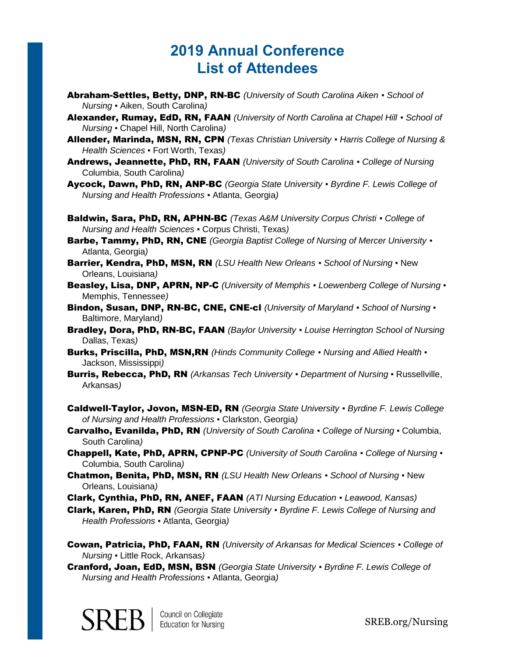## **2019 Annual Conference List of Attendees**

- Abraham-Settles, Betty, DNP, RN-BC *(University of South Carolina Aiken ▪ School of Nursing ▪* Aiken, South Carolina*)*
- Alexander, Rumay, EdD, RN, FAAN *(University of North Carolina at Chapel Hill ▪ School of Nursing ▪* Chapel Hill, North Carolina*)*
- Allender, Marinda, MSN, RN, CPN *(Texas Christian University ▪ Harris College of Nursing & Health Sciences ▪* Fort Worth, Texas*)*
- Andrews, Jeannette, PhD, RN, FAAN *(University of South Carolina ▪ College of Nursing* Columbia, South Carolina*)*
- Aycock, Dawn, PhD, RN, ANP-BC *(Georgia State University ▪ Byrdine F. Lewis College of Nursing and Health Professions ▪* Atlanta, Georgia*)*
- Baldwin, Sara, PhD, RN, APHN-BC *(Texas A&M University Corpus Christi ▪ College of Nursing and Health Sciences ▪* Corpus Christi, Texas*)*
- Barbe, Tammy, PhD, RN, CNE *(Georgia Baptist College of Nursing of Mercer University ▪* Atlanta, Georgia*)*
- Barrier, Kendra, PhD, MSN, RN *(LSU Health New Orleans ▪ School of Nursing ▪* New Orleans, Louisiana*)*
- Beasley, Lisa, DNP, APRN, NP-C *(University of Memphis ▪ Loewenberg College of Nursing ▪* Memphis, Tennessee*)*
- Bindon, Susan, DNP, RN-BC, CNE, CNE-cl *(University of Maryland ▪ School of Nursing ▪* Baltimore, Maryland*)*
- Bradley, Dora, PhD, RN-BC, FAAN *(Baylor University ▪ Louise Herrington School of Nursing* Dallas, Texas*)*
- Burks, Priscilla, PhD, MSN,RN *(Hinds Community College ▪ Nursing and Allied Health ▪* Jackson, Mississippi*)*
- Burris, Rebecca, PhD, RN *(Arkansas Tech University ▪ Department of Nursing ▪* Russellville, Arkansas*)*
- Caldwell-Taylor, Jovon, MSN-ED, RN *(Georgia State University ▪ Byrdine F. Lewis College of Nursing and Health Professions ▪* Clarkston, Georgia*)*
- Carvalho, Evanilda, PhD, RN *(University of South Carolina ▪ College of Nursing ▪* Columbia, South Carolina*)*
- Chappell, Kate, PhD, APRN, CPNP-PC *(University of South Carolina ▪ College of Nursing ▪* Columbia, South Carolina*)*
- Chatmon, Benita, PhD, MSN, RN *(LSU Health New Orleans ▪ School of Nursing ▪* New Orleans, Louisiana*)*
- Clark, Cynthia, PhD, RN, ANEF, FAAN *(ATI Nursing Education ▪ Leawood, Kansas)*
- Clark, Karen, PhD, RN *(Georgia State University ▪ Byrdine F. Lewis College of Nursing and Health Professions ▪* Atlanta, Georgia*)*
- Cowan, Patricia, PhD, FAAN, RN *(University of Arkansas for Medical Sciences ▪ College of Nursing ▪* Little Rock, Arkansas*)*
- Cranford, Joan, EdD, MSN, BSN *(Georgia State University ▪ Byrdine F. Lewis College of Nursing and Health Professions ▪* Atlanta, Georgia*)*

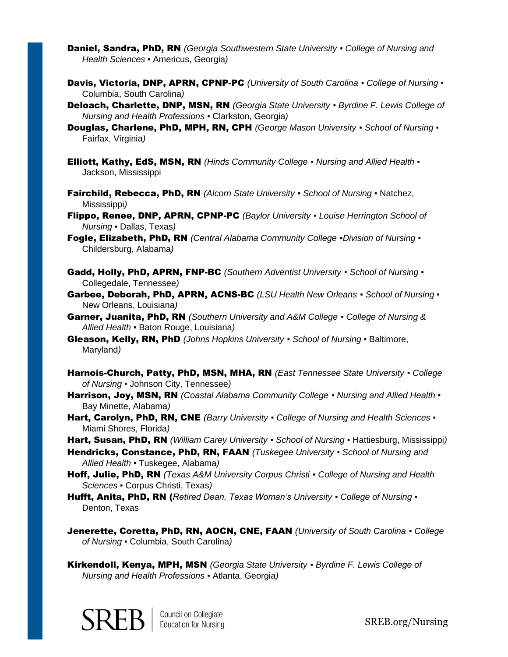- Daniel, Sandra, PhD, RN *(Georgia Southwestern State University ▪ College of Nursing and Health Sciences ▪* Americus, Georgia*)*
- Davis, Victoria, DNP, APRN, CPNP-PC *(University of South Carolina ▪ College of Nursing ▪* Columbia, South Carolina*)*
- Deloach, Charlette, DNP, MSN, RN *(Georgia State University ▪ Byrdine F. Lewis College of Nursing and Health Professions ▪* Clarkston, Georgia*)*
- Douglas, Charlene, PhD, MPH, RN, CPH *(George Mason University ▪ School of Nursing ▪* Fairfax, Virginia*)*
- Elliott, Kathy, EdS, MSN, RN *(Hinds Community College ▪ Nursing and Allied Health ▪* Jackson, Mississippi
- Fairchild, Rebecca, PhD, RN *(Alcorn State University ▪ School of Nursing ▪* Natchez, Mississippi*)*
- Flippo, Renee, DNP, APRN, CPNP-PC *(Baylor University ▪ Louise Herrington School of Nursing ▪* Dallas, Texas*)*
- Fogle, Elizabeth, PhD, RN *(Central Alabama Community College ▪Division of Nursing ▪* Childersburg, Alabama*)*
- Gadd, Holly, PhD, APRN, FNP-BC *(Southern Adventist University ▪ School of Nursing ▪* Collegedale, Tennessee*)*
- Garbee, Deborah, PhD, APRN, ACNS-BC *(LSU Health New Orleans ▪ School of Nursing ▪* New Orleans, Louisiana*)*
- Garner, Juanita, PhD, RN *(Southern University and A&M College ▪ College of Nursing & Allied Health ▪* Baton Rouge, Louisiana*)*
- Gleason, Kelly, RN, PhD *(Johns Hopkins University ▪ School of Nursing ▪* Baltimore, Maryland*)*
- Harnois-Church, Patty, PhD, MSN, MHA, RN *(East Tennessee State University ▪ College of Nursing ▪* Johnson City, Tennessee*)*
- Harrison, Joy, MSN, RN *(Coastal Alabama Community College ▪ Nursing and Allied Health ▪* Bay Minette, Alabama*)*
- Hart, Carolyn, PhD, RN, CNE *(Barry University* · College of Nursing and Health Sciences · Miami Shores, Florida*)*
- Hart, Susan, PhD, RN *(William Carey University ▪ School of Nursing ▪* Hattiesburg, Mississippi*)*
- Hendricks, Constance, PhD, RN, FAAN *(Tuskegee University ▪ School of Nursing and Allied Health ▪* Tuskegee, Alabama*)*
- Hoff, Julie, PhD, RN *(Texas A&M University Corpus Christi ▪ College of Nursing and Health Sciences ▪* Corpus Christi, Texas*)*
- Hufft, Anita, PhD, RN (*Retired Dean, Texas Woman's University ▪ College of Nursing ▪* Denton, Texas
- Jenerette, Coretta, PhD, RN, AOCN, CNE, FAAN *(University of South Carolina ▪ College of Nursing ▪* Columbia, South Carolina*)*
- Kirkendoll, Kenya, MPH, MSN *(Georgia State University ▪ Byrdine F. Lewis College of Nursing and Health Professions ▪* Atlanta, Georgia*)*

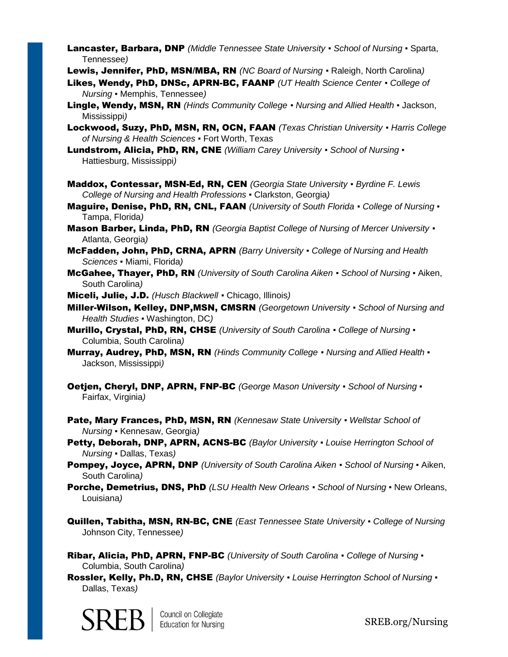Lancaster, Barbara, DNP *(Middle Tennessee State University ▪ School of Nursing ▪* Sparta, Tennessee*)*

Lewis, Jennifer, PhD, MSN/MBA, RN *(NC Board of Nursing ▪* Raleigh, North Carolina*)*

- Likes, Wendy, PhD, DNSc, APRN-BC, FAANP *(UT Health Science Center ▪ College of Nursing ▪* Memphis, Tennessee*)*
- Lingle, Wendy, MSN, RN *(Hinds Community College ▪ Nursing and Allied Health ▪* Jackson, Mississippi*)*
- Lockwood, Suzy, PhD, MSN, RN, OCN, FAAN *(Texas Christian University ▪ Harris College of Nursing & Health Sciences ▪* Fort Worth, Texas
- Lundstrom, Alicia, PhD, RN, CNE *(William Carey University ▪ School of Nursing ▪* Hattiesburg, Mississippi*)*
- Maddox, Contessar, MSN-Ed, RN, CEN *(Georgia State University ▪ Byrdine F. Lewis College of Nursing and Health Professions ▪* Clarkston, Georgia*)*
- Maguire, Denise, PhD, RN, CNL, FAAN *(University of South Florida ▪ College of Nursing ▪* Tampa, Florida*)*
- Mason Barber, Linda, PhD, RN *(Georgia Baptist College of Nursing of Mercer University ▪* Atlanta, Georgia*)*
- McFadden, John, PhD, CRNA, APRN *(Barry University ▪ College of Nursing and Health Sciences ▪* Miami, Florida*)*
- McGahee, Thayer, PhD, RN *(University of South Carolina Aiken ▪ School of Nursing ▪* Aiken, South Carolina*)*
- Miceli, Julie, J.D. *(Husch Blackwell ▪* Chicago, Illinois*)*
- Miller-Wilson, Kelley, DNP,MSN, CMSRN *(Georgetown University ▪ School of Nursing and Health Studies ▪* Washington, DC*)*
- Murillo, Crystal, PhD, RN, CHSE *(University of South Carolina ▪ College of Nursing ▪* Columbia, South Carolina*)*
- Murray, Audrey, PhD, MSN, RN *(Hinds Community College ▪ Nursing and Allied Health ▪* Jackson, Mississippi*)*
- Oetjen, Cheryl, DNP, APRN, FNP-BC *(George Mason University ▪ School of Nursing ▪* Fairfax, Virginia*)*
- Pate, Mary Frances, PhD, MSN, RN *(Kennesaw State University ▪ Wellstar School of Nursing ▪* Kennesaw, Georgia*)*
- Petty, Deborah, DNP, APRN, ACNS-BC *(Baylor University ▪ Louise Herrington School of Nursing ▪* Dallas, Texas*)*
- Pompey, Joyce, APRN, DNP *(University of South Carolina Aiken ▪ School of Nursing ▪* Aiken, South Carolina*)*
- Porche, Demetrius, DNS, PhD *(LSU Health New Orleans ▪ School of Nursing ▪* New Orleans, Louisiana*)*
- Quillen, Tabitha, MSN, RN-BC, CNE *(East Tennessee State University ▪ College of Nursing* Johnson City, Tennessee*)*
- Ribar, Alicia, PhD, APRN, FNP-BC *(University of South Carolina ▪ College of Nursing ▪* Columbia, South Carolina*)*
- Rossler, Kelly, Ph.D, RN, CHSE *(Baylor University ▪ Louise Herrington School of Nursing ▪* Dallas, Texas*)*